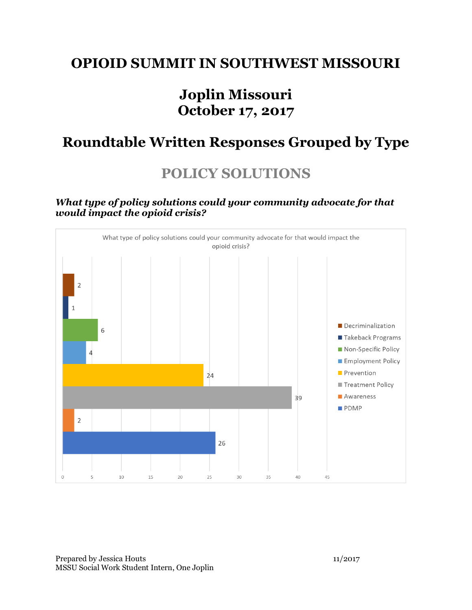### **OPIOID SUMMIT IN SOUTHWEST MISSOURI**

## **Joplin Missouri October 17, 2017**

## **Roundtable Written Responses Grouped by Type**

# **POLICY SOLUTIONS**

#### *What type of policy solutions could your community advocate for that would impact the opioid crisis?*



Prepared by Jessica Houts 11/2017 MSSU Social Work Student Intern, One Joplin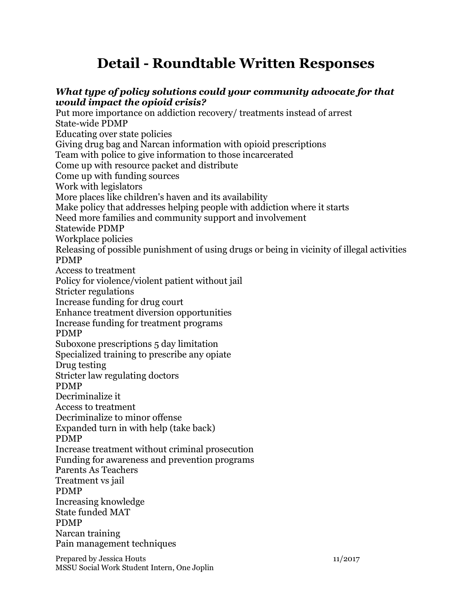# **Detail - Roundtable Written Responses**

### *What type of policy solutions could your community advocate for that would impact the opioid crisis?*

Put more importance on addiction recovery/ treatments instead of arrest State-wide PDMP Educating over state policies Giving drug bag and Narcan information with opioid prescriptions Team with police to give information to those incarcerated Come up with resource packet and distribute Come up with funding sources Work with legislators More places like children's haven and its availability Make policy that addresses helping people with addiction where it starts Need more families and community support and involvement Statewide PDMP Workplace policies Releasing of possible punishment of using drugs or being in vicinity of illegal activities PDMP Access to treatment Policy for violence/violent patient without jail Stricter regulations Increase funding for drug court Enhance treatment diversion opportunities Increase funding for treatment programs PDMP Suboxone prescriptions 5 day limitation Specialized training to prescribe any opiate Drug testing Stricter law regulating doctors PDMP Decriminalize it Access to treatment Decriminalize to minor offense Expanded turn in with help (take back) PDMP Increase treatment without criminal prosecution Funding for awareness and prevention programs Parents As Teachers Treatment vs jail PDMP Increasing knowledge State funded MAT PDMP Narcan training Pain management techniques

Prepared by Jessica Houts 11/2017 MSSU Social Work Student Intern, One Joplin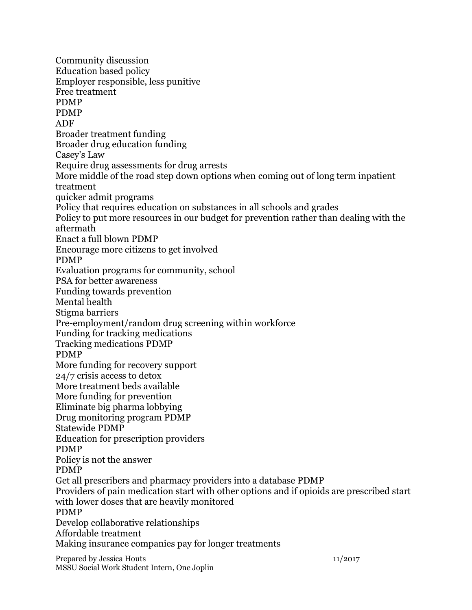Prepared by Jessica Houts 11/2017 Community discussion Education based policy Employer responsible, less punitive Free treatment PDMP PDMP ADF Broader treatment funding Broader drug education funding Casey's Law Require drug assessments for drug arrests More middle of the road step down options when coming out of long term inpatient treatment quicker admit programs Policy that requires education on substances in all schools and grades Policy to put more resources in our budget for prevention rather than dealing with the aftermath Enact a full blown PDMP Encourage more citizens to get involved PDMP Evaluation programs for community, school PSA for better awareness Funding towards prevention Mental health Stigma barriers Pre-employment/random drug screening within workforce Funding for tracking medications Tracking medications PDMP PDMP More funding for recovery support 24/7 crisis access to detox More treatment beds available More funding for prevention Eliminate big pharma lobbying Drug monitoring program PDMP Statewide PDMP Education for prescription providers PDMP Policy is not the answer PDMP Get all prescribers and pharmacy providers into a database PDMP Providers of pain medication start with other options and if opioids are prescribed start with lower doses that are heavily monitored PDMP Develop collaborative relationships Affordable treatment Making insurance companies pay for longer treatments

MSSU Social Work Student Intern, One Joplin